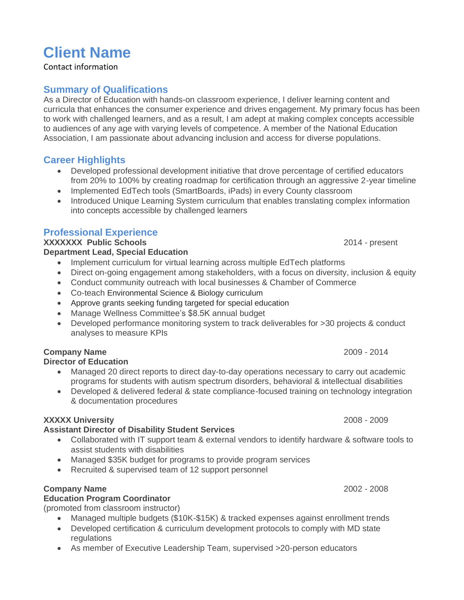# **Client Name**

Contact information

#### **Summary of Qualifications**

As a Director of Education with hands-on classroom experience, I deliver learning content and curricula that enhances the consumer experience and drives engagement. My primary focus has been to work with challenged learners, and as a result, I am adept at making complex concepts accessible to audiences of any age with varying levels of competence. A member of the National Education Association, I am passionate about advancing inclusion and access for diverse populations.

## **Career Highlights**

- Developed professional development initiative that drove percentage of certified educators from 20% to 100% by creating roadmap for certification through an aggressive 2-year timeline
- Implemented EdTech tools (SmartBoards, iPads) in every County classroom
- Introduced Unique Learning System curriculum that enables translating complex information into concepts accessible by challenged learners

### **Professional Experience**

**XXXXXXX Public Schools** 2014 - present **Department Lead, Special Education**

- Implement curriculum for virtual learning across multiple EdTech platforms
- Direct on-going engagement among stakeholders, with a focus on diversity, inclusion & equity
- Conduct community outreach with local businesses & Chamber of Commerce
- Co-teach Environmental Science & Biology curriculum
- Approve grants seeking funding targeted for special education
- Manage Wellness Committee's \$8.5K annual budget
- Developed performance monitoring system to track deliverables for >30 projects & conduct analyses to measure KPIs

# **Company Name** 2009 - 2014

#### **Director of Education**

- Managed 20 direct reports to direct day-to-day operations necessary to carry out academic programs for students with autism spectrum disorders, behavioral & intellectual disabilities
- Developed & delivered federal & state compliance-focused training on technology integration & documentation procedures

#### **XXXXX University** 2008 - 2009

#### **Assistant Director of Disability Student Services**

- Collaborated with IT support team & external vendors to identify hardware & software tools to assist students with disabilities
- Managed \$35K budget for programs to provide program services
- Recruited & supervised team of 12 support personnel

#### **Company Name** 2002 - 2008

#### **Education Program Coordinator**

(promoted from classroom instructor)

- Managed multiple budgets (\$10K-\$15K) & tracked expenses against enrollment trends
- Developed certification & curriculum development protocols to comply with MD state regulations
- As member of Executive Leadership Team, supervised >20-person educators